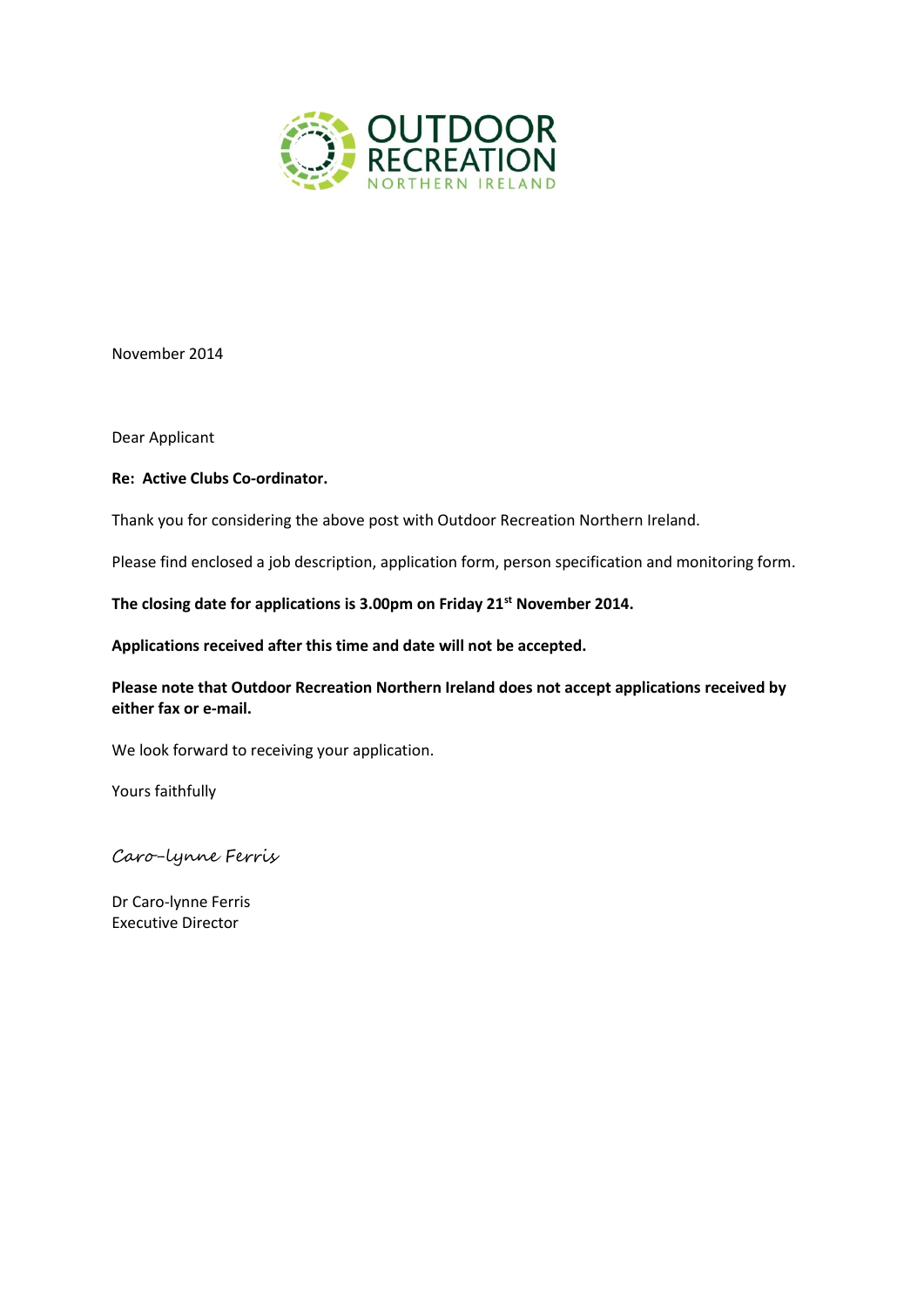

November 2014

Dear Applicant

### **Re: Active Clubs Co-ordinator.**

Thank you for considering the above post with Outdoor Recreation Northern Ireland.

Please find enclosed a job description, application form, person specification and monitoring form.

**The closing date for applications is 3.00pm on Friday 21st November 2014.** 

**Applications received after this time and date will not be accepted.** 

**Please note that Outdoor Recreation Northern Ireland does not accept applications received by either fax or e-mail.**

We look forward to receiving your application.

Yours faithfully

Caro-lynne Ferris

Dr Caro-lynne Ferris Executive Director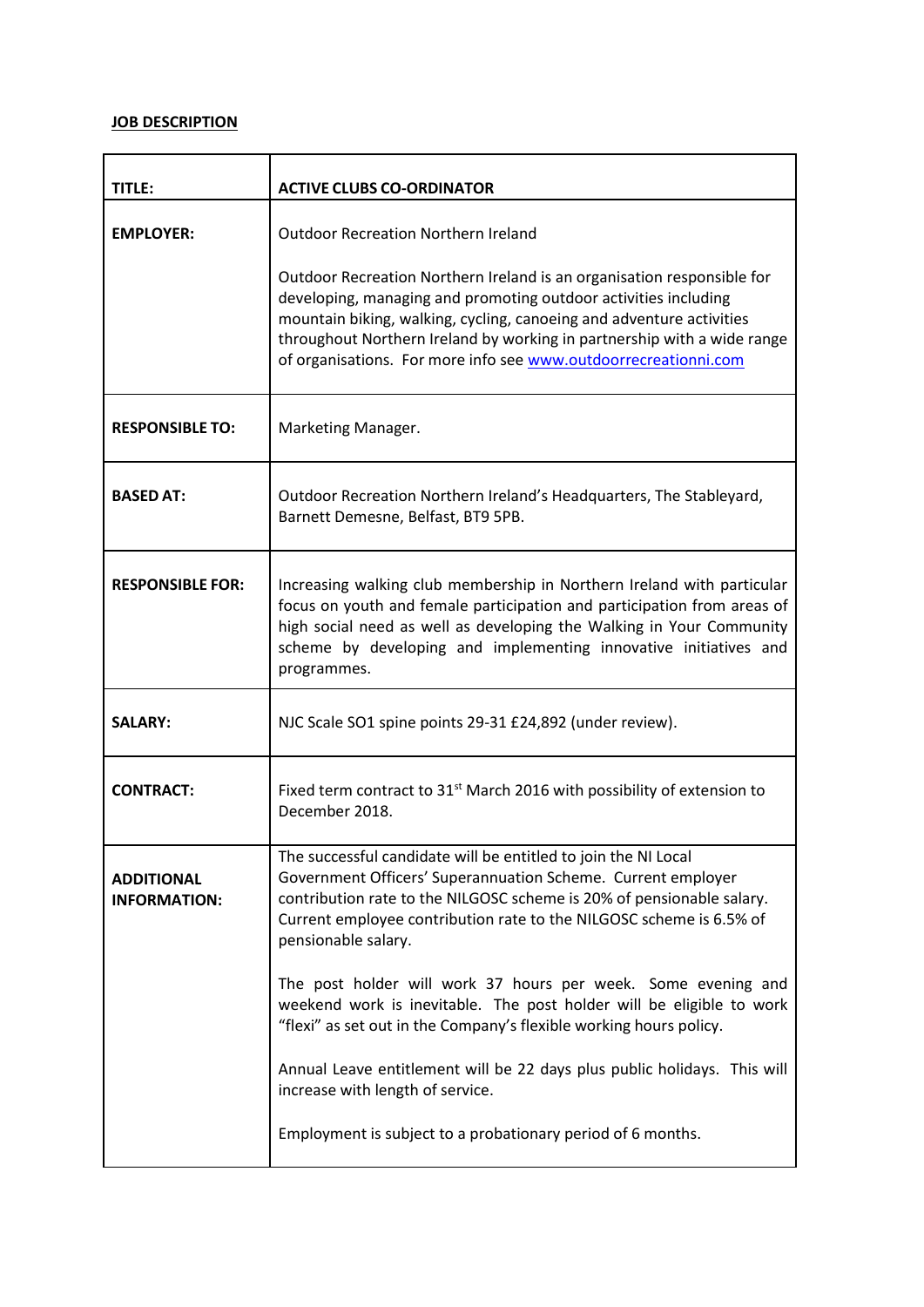## **JOB DESCRIPTION**

| TITLE:                                   | <b>ACTIVE CLUBS CO-ORDINATOR</b>                                                                                                                                                                                                                                                                                                                                |
|------------------------------------------|-----------------------------------------------------------------------------------------------------------------------------------------------------------------------------------------------------------------------------------------------------------------------------------------------------------------------------------------------------------------|
| <b>EMPLOYER:</b>                         | <b>Outdoor Recreation Northern Ireland</b>                                                                                                                                                                                                                                                                                                                      |
|                                          | Outdoor Recreation Northern Ireland is an organisation responsible for<br>developing, managing and promoting outdoor activities including<br>mountain biking, walking, cycling, canoeing and adventure activities<br>throughout Northern Ireland by working in partnership with a wide range<br>of organisations. For more info see www.outdoorrecreationni.com |
| <b>RESPONSIBLE TO:</b>                   | Marketing Manager.                                                                                                                                                                                                                                                                                                                                              |
| <b>BASED AT:</b>                         | Outdoor Recreation Northern Ireland's Headquarters, The Stableyard,<br>Barnett Demesne, Belfast, BT9 5PB.                                                                                                                                                                                                                                                       |
| <b>RESPONSIBLE FOR:</b>                  | Increasing walking club membership in Northern Ireland with particular<br>focus on youth and female participation and participation from areas of<br>high social need as well as developing the Walking in Your Community<br>scheme by developing and implementing innovative initiatives and<br>programmes.                                                    |
| <b>SALARY:</b>                           | NJC Scale SO1 spine points 29-31 £24,892 (under review).                                                                                                                                                                                                                                                                                                        |
| <b>CONTRACT:</b>                         | Fixed term contract to 31 <sup>st</sup> March 2016 with possibility of extension to<br>December 2018.                                                                                                                                                                                                                                                           |
| <b>ADDITIONAL</b><br><b>INFORMATION:</b> | The successful candidate will be entitled to join the NI Local<br>Government Officers' Superannuation Scheme. Current employer<br>contribution rate to the NILGOSC scheme is 20% of pensionable salary.<br>Current employee contribution rate to the NILGOSC scheme is 6.5% of<br>pensionable salary.                                                           |
|                                          | The post holder will work 37 hours per week. Some evening and<br>weekend work is inevitable. The post holder will be eligible to work<br>"flexi" as set out in the Company's flexible working hours policy.                                                                                                                                                     |
|                                          | Annual Leave entitlement will be 22 days plus public holidays. This will<br>increase with length of service.                                                                                                                                                                                                                                                    |
|                                          | Employment is subject to a probationary period of 6 months.                                                                                                                                                                                                                                                                                                     |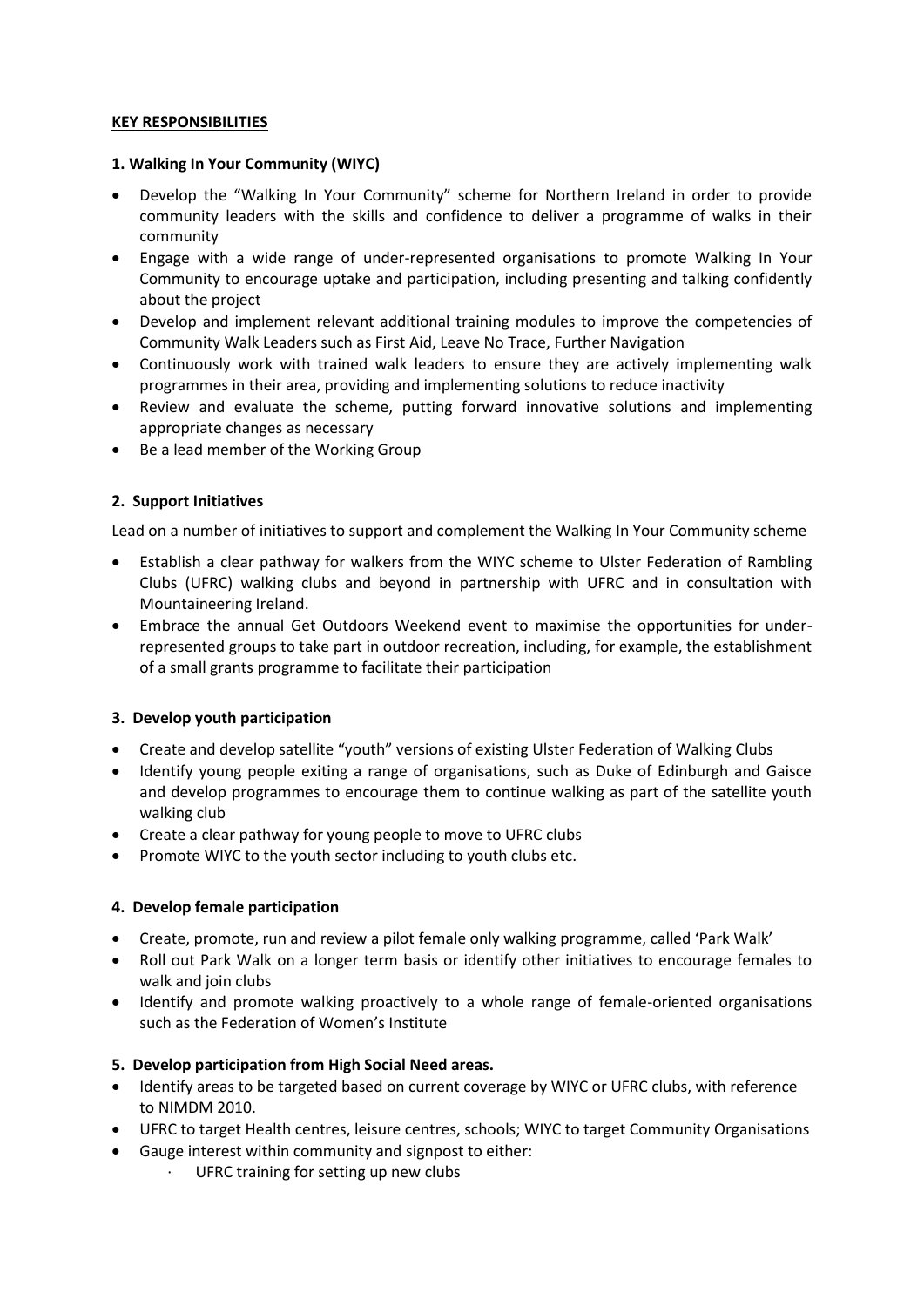### **KEY RESPONSIBILITIES**

## **1. Walking In Your Community (WIYC)**

- Develop the "Walking In Your Community" scheme for Northern Ireland in order to provide community leaders with the skills and confidence to deliver a programme of walks in their community
- Engage with a wide range of under-represented organisations to promote Walking In Your Community to encourage uptake and participation, including presenting and talking confidently about the project
- Develop and implement relevant additional training modules to improve the competencies of Community Walk Leaders such as First Aid, Leave No Trace, Further Navigation
- Continuously work with trained walk leaders to ensure they are actively implementing walk programmes in their area, providing and implementing solutions to reduce inactivity
- Review and evaluate the scheme, putting forward innovative solutions and implementing appropriate changes as necessary
- Be a lead member of the Working Group

## **2. Support Initiatives**

Lead on a number of initiatives to support and complement the Walking In Your Community scheme

- Establish a clear pathway for walkers from the WIYC scheme to Ulster Federation of Rambling Clubs (UFRC) walking clubs and beyond in partnership with UFRC and in consultation with Mountaineering Ireland.
- Embrace the annual Get Outdoors Weekend event to maximise the opportunities for underrepresented groups to take part in outdoor recreation, including, for example, the establishment of a small grants programme to facilitate their participation

## **3. Develop youth participation**

- Create and develop satellite "youth" versions of existing Ulster Federation of Walking Clubs
- Identify young people exiting a range of organisations, such as Duke of Edinburgh and Gaisce and develop programmes to encourage them to continue walking as part of the satellite youth walking club
- Create a clear pathway for young people to move to UFRC clubs
- Promote WIYC to the youth sector including to youth clubs etc.

### **4. Develop female participation**

- Create, promote, run and review a pilot female only walking programme, called 'Park Walk'
- Roll out Park Walk on a longer term basis or identify other initiatives to encourage females to walk and join clubs
- Identify and promote walking proactively to a whole range of female-oriented organisations such as the Federation of Women's Institute

## **5. Develop participation from High Social Need areas.**

- Identify areas to be targeted based on current coverage by WIYC or UFRC clubs, with reference to NIMDM 2010.
- UFRC to target Health centres, leisure centres, schools; WIYC to target Community Organisations
- Gauge interest within community and signpost to either:
	- · UFRC training for setting up new clubs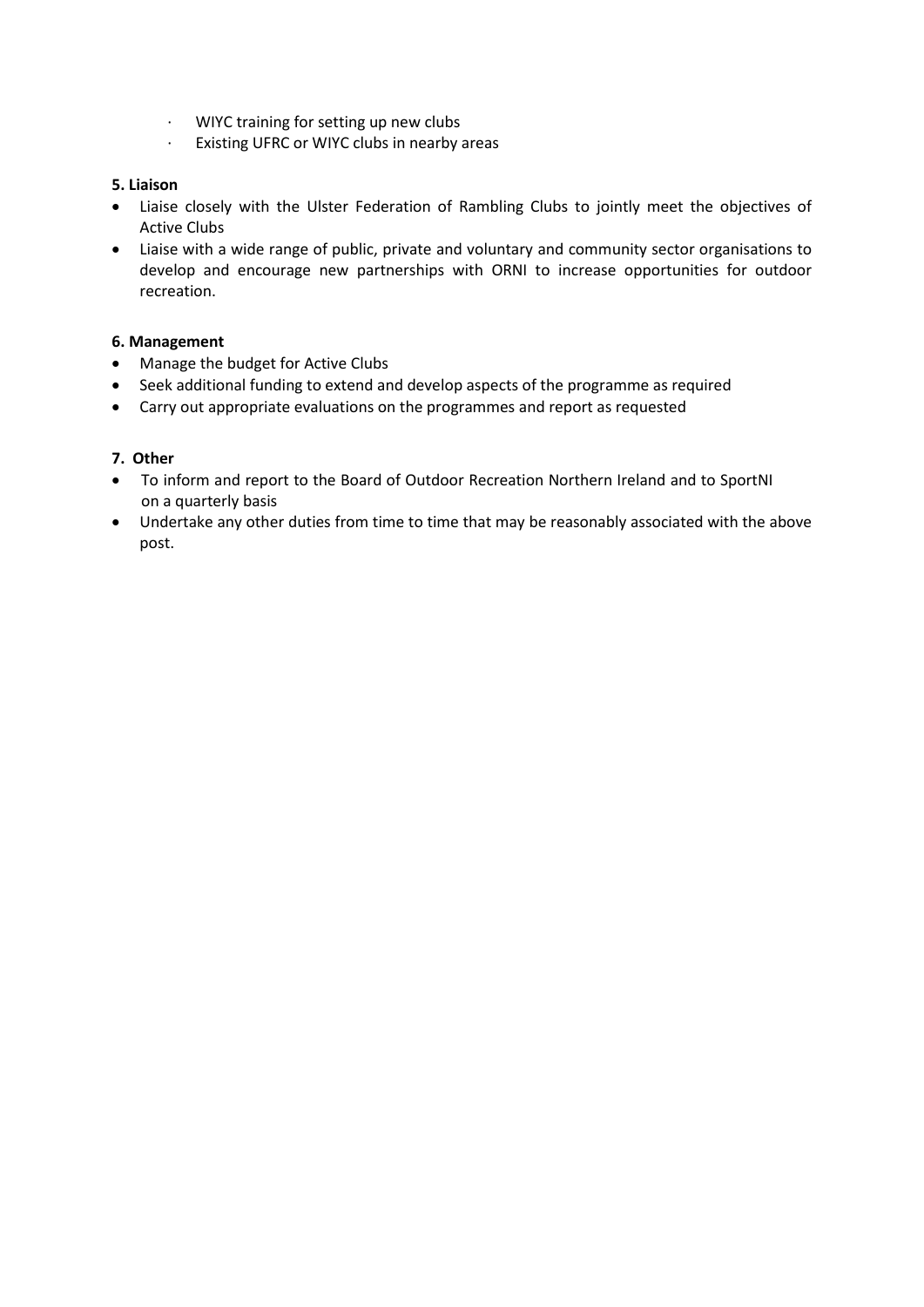- · WIYC training for setting up new clubs
- · Existing UFRC or WIYC clubs in nearby areas

## **5. Liaison**

- Liaise closely with the Ulster Federation of Rambling Clubs to jointly meet the objectives of Active Clubs
- Liaise with a wide range of public, private and voluntary and community sector organisations to develop and encourage new partnerships with ORNI to increase opportunities for outdoor recreation.

## **6. Management**

- Manage the budget for Active Clubs
- Seek additional funding to extend and develop aspects of the programme as required
- Carry out appropriate evaluations on the programmes and report as requested

## **7. Other**

- To inform and report to the Board of Outdoor Recreation Northern Ireland and to SportNI on a quarterly basis
- Undertake any other duties from time to time that may be reasonably associated with the above post.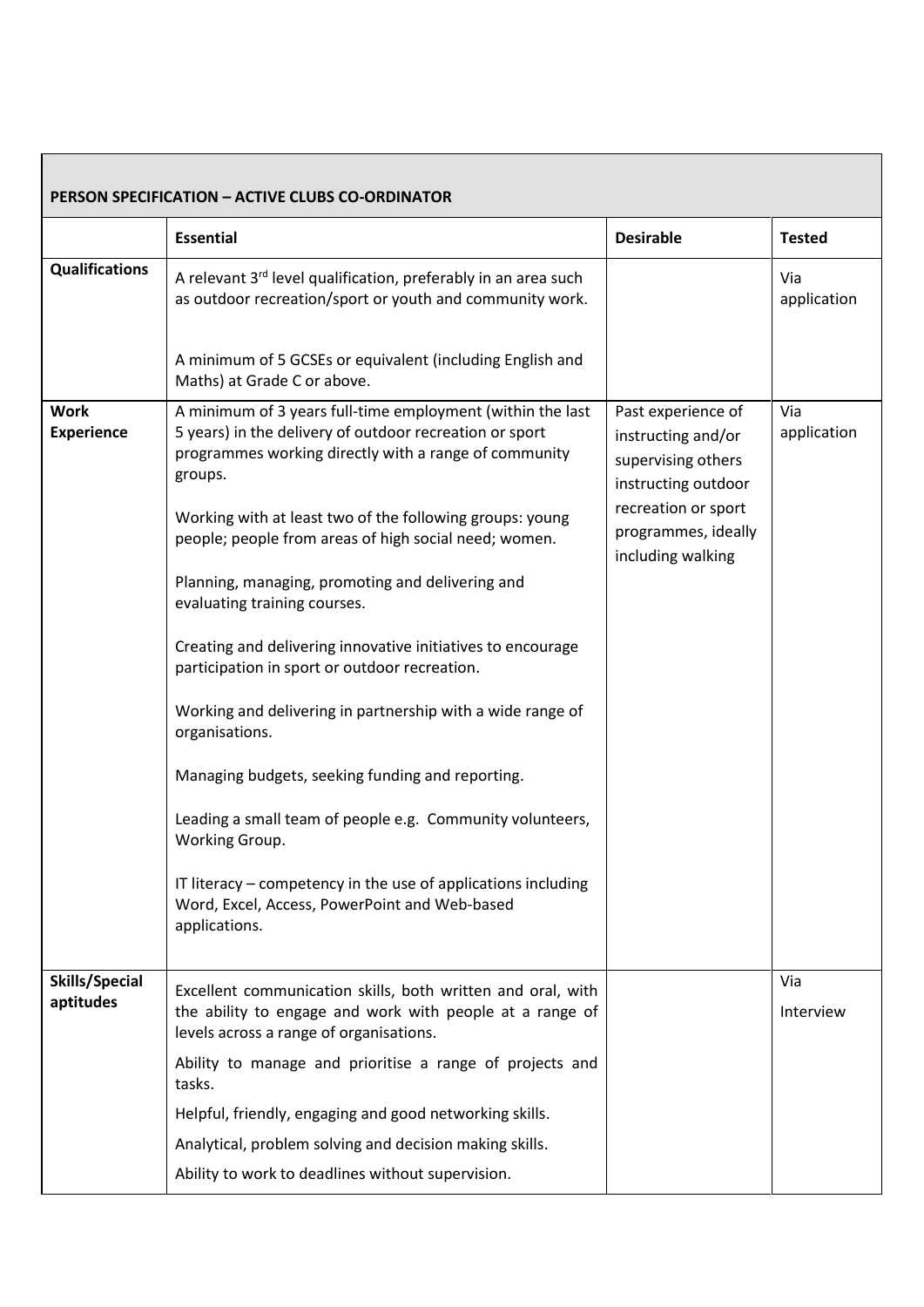|                                  | <b>PERSON SPECIFICATION - ACTIVE CLUBS CO-ORDINATOR</b>                                                                                                                                                                                                                                                                                                                                                                                                                                                                                                                                                                                                                                                                                                                                                |                                                                                                                                                          |                    |
|----------------------------------|--------------------------------------------------------------------------------------------------------------------------------------------------------------------------------------------------------------------------------------------------------------------------------------------------------------------------------------------------------------------------------------------------------------------------------------------------------------------------------------------------------------------------------------------------------------------------------------------------------------------------------------------------------------------------------------------------------------------------------------------------------------------------------------------------------|----------------------------------------------------------------------------------------------------------------------------------------------------------|--------------------|
|                                  | <b>Essential</b>                                                                                                                                                                                                                                                                                                                                                                                                                                                                                                                                                                                                                                                                                                                                                                                       | <b>Desirable</b>                                                                                                                                         | <b>Tested</b>      |
| <b>Qualifications</b>            | A relevant 3 <sup>rd</sup> level qualification, preferably in an area such<br>as outdoor recreation/sport or youth and community work.<br>A minimum of 5 GCSEs or equivalent (including English and                                                                                                                                                                                                                                                                                                                                                                                                                                                                                                                                                                                                    |                                                                                                                                                          | Via<br>application |
|                                  | Maths) at Grade C or above.                                                                                                                                                                                                                                                                                                                                                                                                                                                                                                                                                                                                                                                                                                                                                                            |                                                                                                                                                          |                    |
| <b>Work</b><br><b>Experience</b> | A minimum of 3 years full-time employment (within the last<br>5 years) in the delivery of outdoor recreation or sport<br>programmes working directly with a range of community<br>groups.<br>Working with at least two of the following groups: young<br>people; people from areas of high social need; women.<br>Planning, managing, promoting and delivering and<br>evaluating training courses.<br>Creating and delivering innovative initiatives to encourage<br>participation in sport or outdoor recreation.<br>Working and delivering in partnership with a wide range of<br>organisations.<br>Managing budgets, seeking funding and reporting.<br>Leading a small team of people e.g. Community volunteers,<br>Working Group.<br>IT literacy – competency in the use of applications including | Past experience of<br>instructing and/or<br>supervising others<br>instructing outdoor<br>recreation or sport<br>programmes, ideally<br>including walking | Via<br>application |
|                                  | Word, Excel, Access, PowerPoint and Web-based<br>applications.                                                                                                                                                                                                                                                                                                                                                                                                                                                                                                                                                                                                                                                                                                                                         |                                                                                                                                                          |                    |
| Skills/Special<br>aptitudes      | Excellent communication skills, both written and oral, with<br>the ability to engage and work with people at a range of<br>levels across a range of organisations.                                                                                                                                                                                                                                                                                                                                                                                                                                                                                                                                                                                                                                     |                                                                                                                                                          | Via<br>Interview   |
|                                  | Ability to manage and prioritise a range of projects and<br>tasks.                                                                                                                                                                                                                                                                                                                                                                                                                                                                                                                                                                                                                                                                                                                                     |                                                                                                                                                          |                    |
|                                  | Helpful, friendly, engaging and good networking skills.                                                                                                                                                                                                                                                                                                                                                                                                                                                                                                                                                                                                                                                                                                                                                |                                                                                                                                                          |                    |
|                                  | Analytical, problem solving and decision making skills.                                                                                                                                                                                                                                                                                                                                                                                                                                                                                                                                                                                                                                                                                                                                                |                                                                                                                                                          |                    |
|                                  | Ability to work to deadlines without supervision.                                                                                                                                                                                                                                                                                                                                                                                                                                                                                                                                                                                                                                                                                                                                                      |                                                                                                                                                          |                    |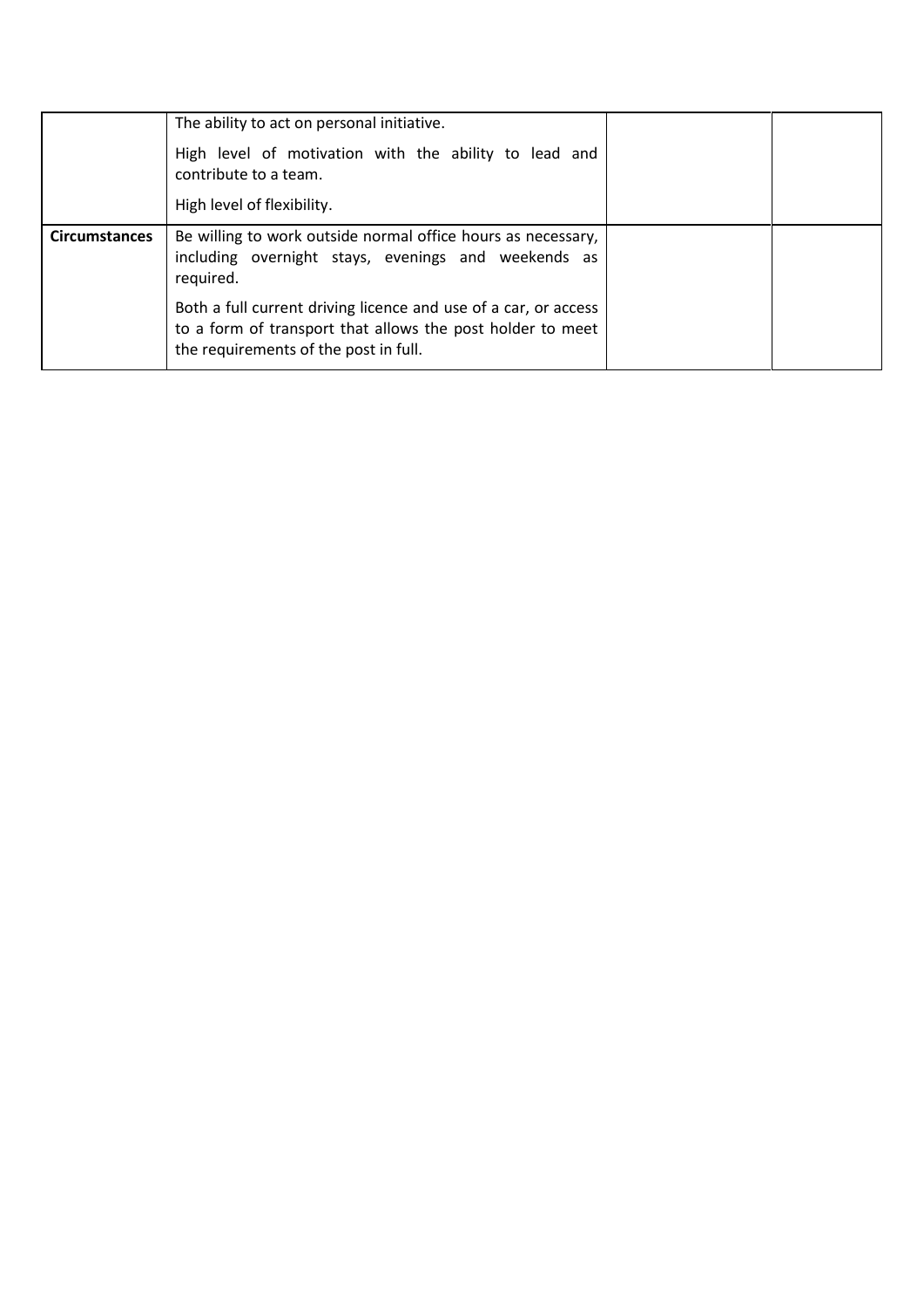|                      | The ability to act on personal initiative.<br>High level of motivation with the ability to lead and<br>contribute to a team.<br>High level of flexibility.                                                                                                                                                 |  |
|----------------------|------------------------------------------------------------------------------------------------------------------------------------------------------------------------------------------------------------------------------------------------------------------------------------------------------------|--|
| <b>Circumstances</b> | Be willing to work outside normal office hours as necessary,<br>including overnight stays, evenings and weekends as<br>required.<br>Both a full current driving licence and use of a car, or access<br>to a form of transport that allows the post holder to meet<br>the requirements of the post in full. |  |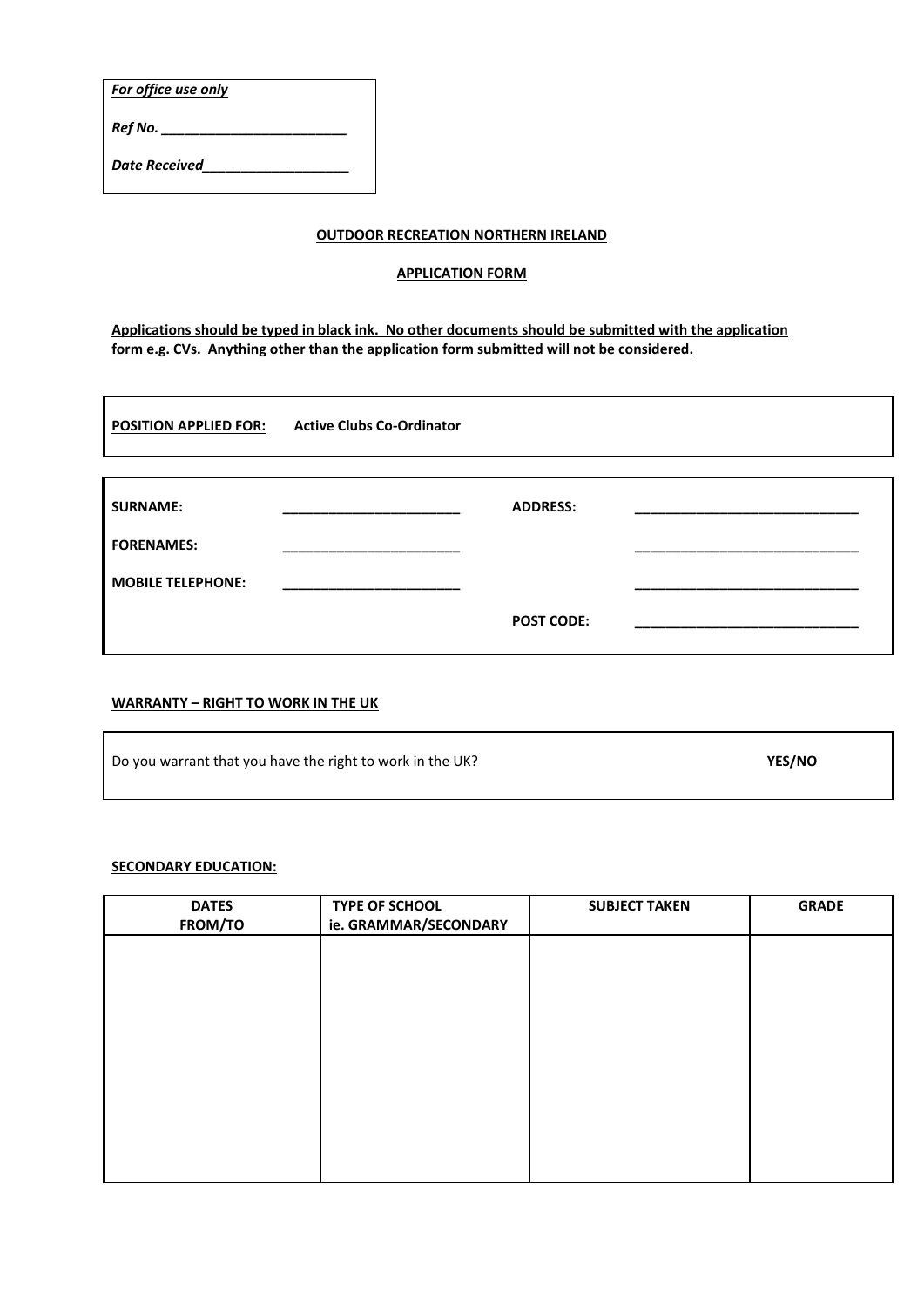*For office use only*

*Ref No. \_\_\_\_\_\_\_\_\_\_\_\_\_\_\_\_\_\_\_\_\_\_\_\_*

*Date Received\_\_\_\_\_\_\_\_\_\_\_\_\_\_\_\_\_\_\_*

### **OUTDOOR RECREATION NORTHERN IRELAND**

#### **APPLICATION FORM**

**Applications should be typed in black ink. No other documents should be submitted with the application form e.g. CVs. Anything other than the application form submitted will not be considered.**

| <b>POSITION APPLIED FOR:</b> | <b>Active Clubs Co-Ordinator</b> |                   |  |
|------------------------------|----------------------------------|-------------------|--|
|                              |                                  |                   |  |
| <b>SURNAME:</b>              |                                  | <b>ADDRESS:</b>   |  |
| <b>FORENAMES:</b>            |                                  |                   |  |
| <b>MOBILE TELEPHONE:</b>     |                                  |                   |  |
|                              |                                  | <b>POST CODE:</b> |  |
|                              |                                  |                   |  |

## **WARRANTY – RIGHT TO WORK IN THE UK**

| Do you warrant that you have the right to work in the UK? | YES/NO |
|-----------------------------------------------------------|--------|
|                                                           |        |

#### **SECONDARY EDUCATION:**

| <b>DATES</b><br>FROM/TO | TYPE OF SCHOOL<br>ie. GRAMMAR/SECONDARY | <b>SUBJECT TAKEN</b> | <b>GRADE</b> |
|-------------------------|-----------------------------------------|----------------------|--------------|
|                         |                                         |                      |              |
|                         |                                         |                      |              |
|                         |                                         |                      |              |
|                         |                                         |                      |              |
|                         |                                         |                      |              |
|                         |                                         |                      |              |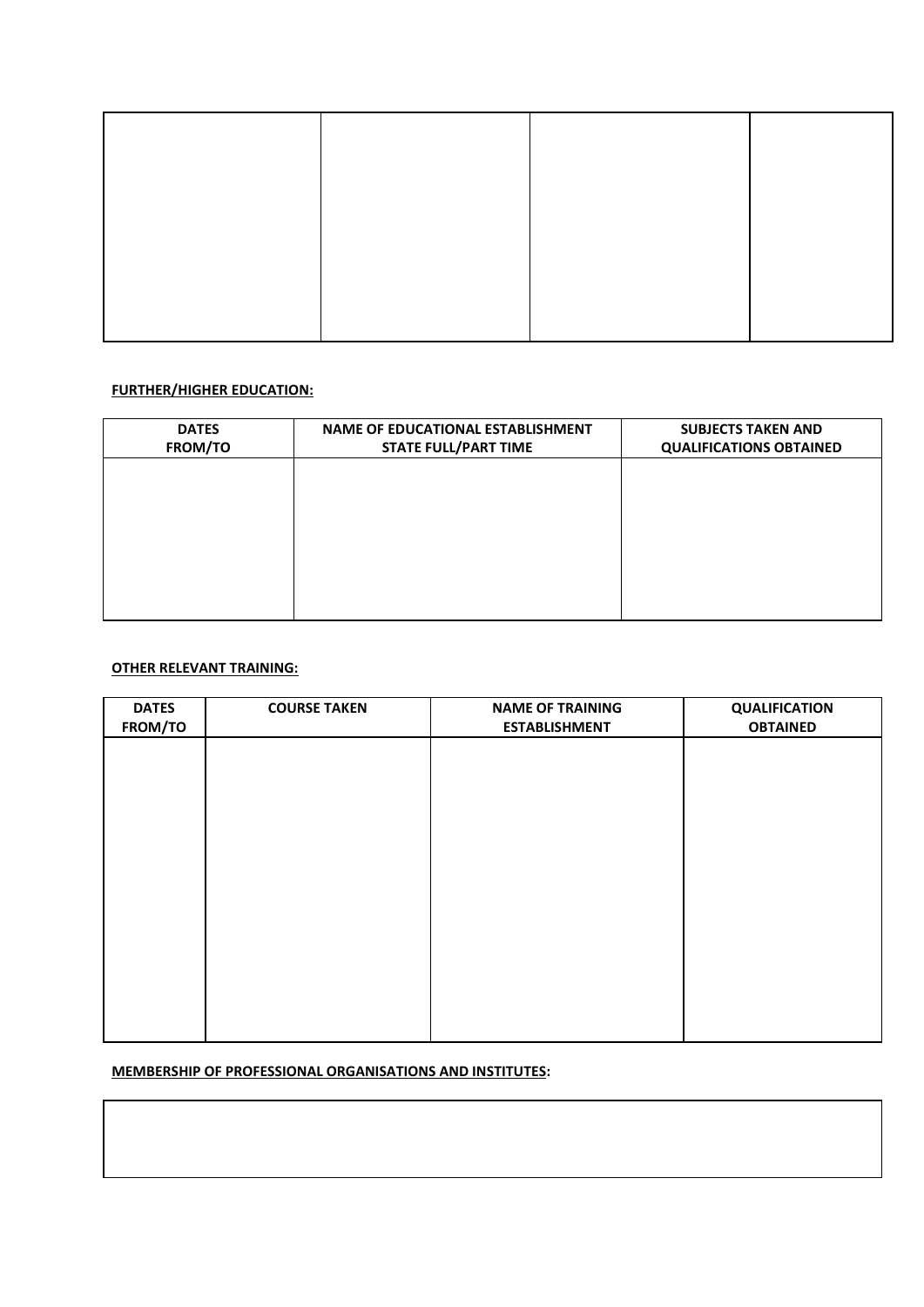## **FURTHER/HIGHER EDUCATION:**

| <b>DATES</b><br>FROM/TO | <b>NAME OF EDUCATIONAL ESTABLISHMENT</b><br><b>STATE FULL/PART TIME</b> | <b>SUBJECTS TAKEN AND</b><br><b>QUALIFICATIONS OBTAINED</b> |
|-------------------------|-------------------------------------------------------------------------|-------------------------------------------------------------|
|                         |                                                                         |                                                             |
|                         |                                                                         |                                                             |
|                         |                                                                         |                                                             |
|                         |                                                                         |                                                             |

## **OTHER RELEVANT TRAINING:**

| <b>DATES</b><br>FROM/TO | <b>COURSE TAKEN</b> | <b>NAME OF TRAINING</b><br><b>ESTABLISHMENT</b> | <b>QUALIFICATION</b><br><b>OBTAINED</b> |
|-------------------------|---------------------|-------------------------------------------------|-----------------------------------------|
|                         |                     |                                                 |                                         |
|                         |                     |                                                 |                                         |
|                         |                     |                                                 |                                         |
|                         |                     |                                                 |                                         |
|                         |                     |                                                 |                                         |
|                         |                     |                                                 |                                         |
|                         |                     |                                                 |                                         |
|                         |                     |                                                 |                                         |
|                         |                     |                                                 |                                         |
|                         |                     |                                                 |                                         |

## **MEMBERSHIP OF PROFESSIONAL ORGANISATIONS AND INSTITUTES:**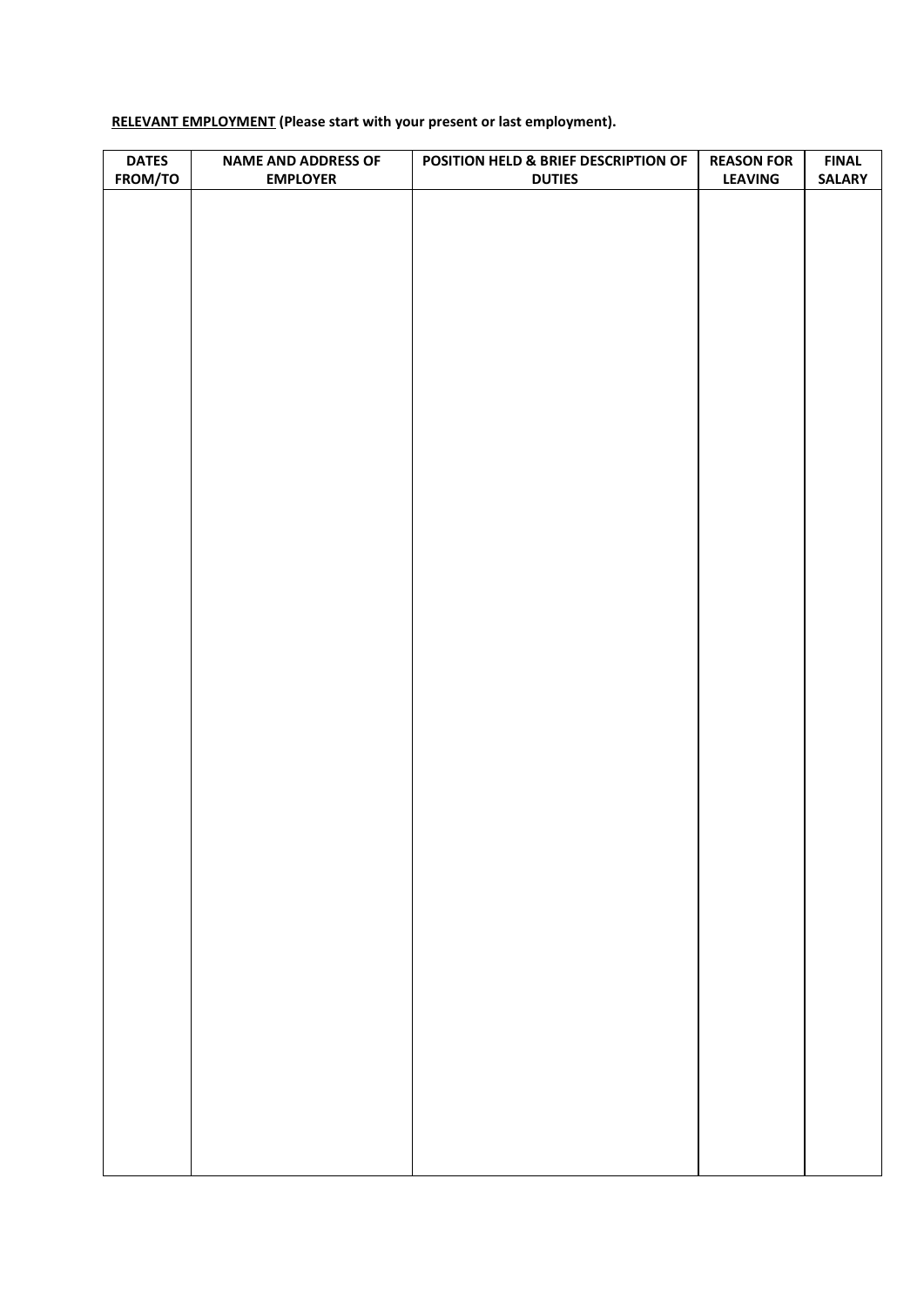# **RELEVANT EMPLOYMENT (Please start with your present or last employment).**

| <b>DATES</b> | <b>NAME AND ADDRESS OF</b> | POSITION HELD & BRIEF DESCRIPTION OF | <b>REASON FOR</b> | <b>FINAL</b>  |
|--------------|----------------------------|--------------------------------------|-------------------|---------------|
| FROM/TO      | <b>EMPLOYER</b>            | <b>DUTIES</b>                        | <b>LEAVING</b>    | <b>SALARY</b> |
|              |                            |                                      |                   |               |
|              |                            |                                      |                   |               |
|              |                            |                                      |                   |               |
|              |                            |                                      |                   |               |
|              |                            |                                      |                   |               |
|              |                            |                                      |                   |               |
|              |                            |                                      |                   |               |
|              |                            |                                      |                   |               |
|              |                            |                                      |                   |               |
|              |                            |                                      |                   |               |
|              |                            |                                      |                   |               |
|              |                            |                                      |                   |               |
|              |                            |                                      |                   |               |
|              |                            |                                      |                   |               |
|              |                            |                                      |                   |               |
|              |                            |                                      |                   |               |
|              |                            |                                      |                   |               |
|              |                            |                                      |                   |               |
|              |                            |                                      |                   |               |
|              |                            |                                      |                   |               |
|              |                            |                                      |                   |               |
|              |                            |                                      |                   |               |
|              |                            |                                      |                   |               |
|              |                            |                                      |                   |               |
|              |                            |                                      |                   |               |
|              |                            |                                      |                   |               |
|              |                            |                                      |                   |               |
|              |                            |                                      |                   |               |
|              |                            |                                      |                   |               |
|              |                            |                                      |                   |               |
|              |                            |                                      |                   |               |
|              |                            |                                      |                   |               |
|              |                            |                                      |                   |               |
|              |                            |                                      |                   |               |
|              |                            |                                      |                   |               |
|              |                            |                                      |                   |               |
|              |                            |                                      |                   |               |
|              |                            |                                      |                   |               |
|              |                            |                                      |                   |               |
|              |                            |                                      |                   |               |
|              |                            |                                      |                   |               |
|              |                            |                                      |                   |               |
|              |                            |                                      |                   |               |
|              |                            |                                      |                   |               |
|              |                            |                                      |                   |               |
|              |                            |                                      |                   |               |
|              |                            |                                      |                   |               |
|              |                            |                                      |                   |               |
|              |                            |                                      |                   |               |
|              |                            |                                      |                   |               |
|              |                            |                                      |                   |               |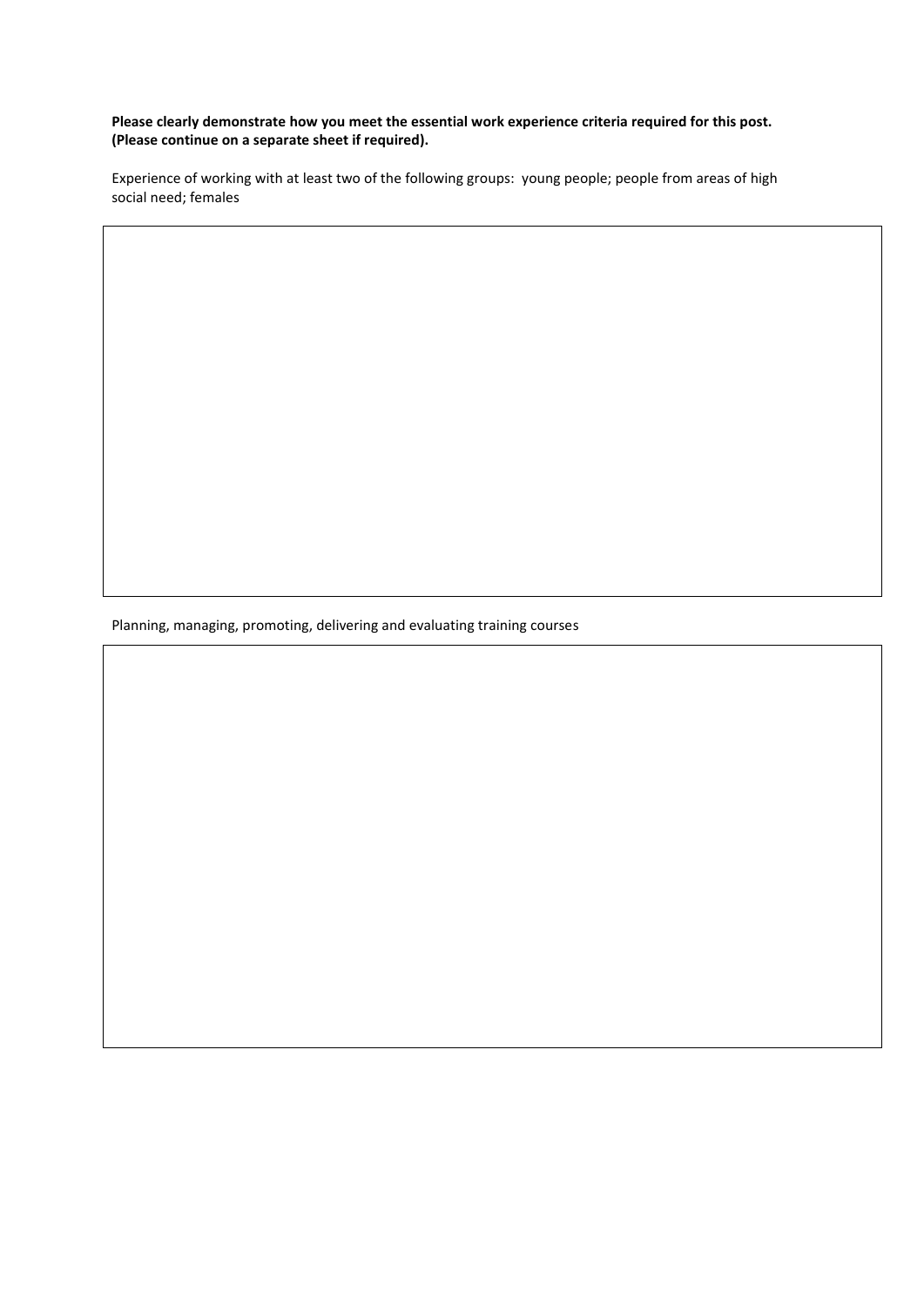**Please clearly demonstrate how you meet the essential work experience criteria required for this post. (Please continue on a separate sheet if required).**

Experience of working with at least two of the following groups: young people; people from areas of high social need; females

Planning, managing, promoting, delivering and evaluating training courses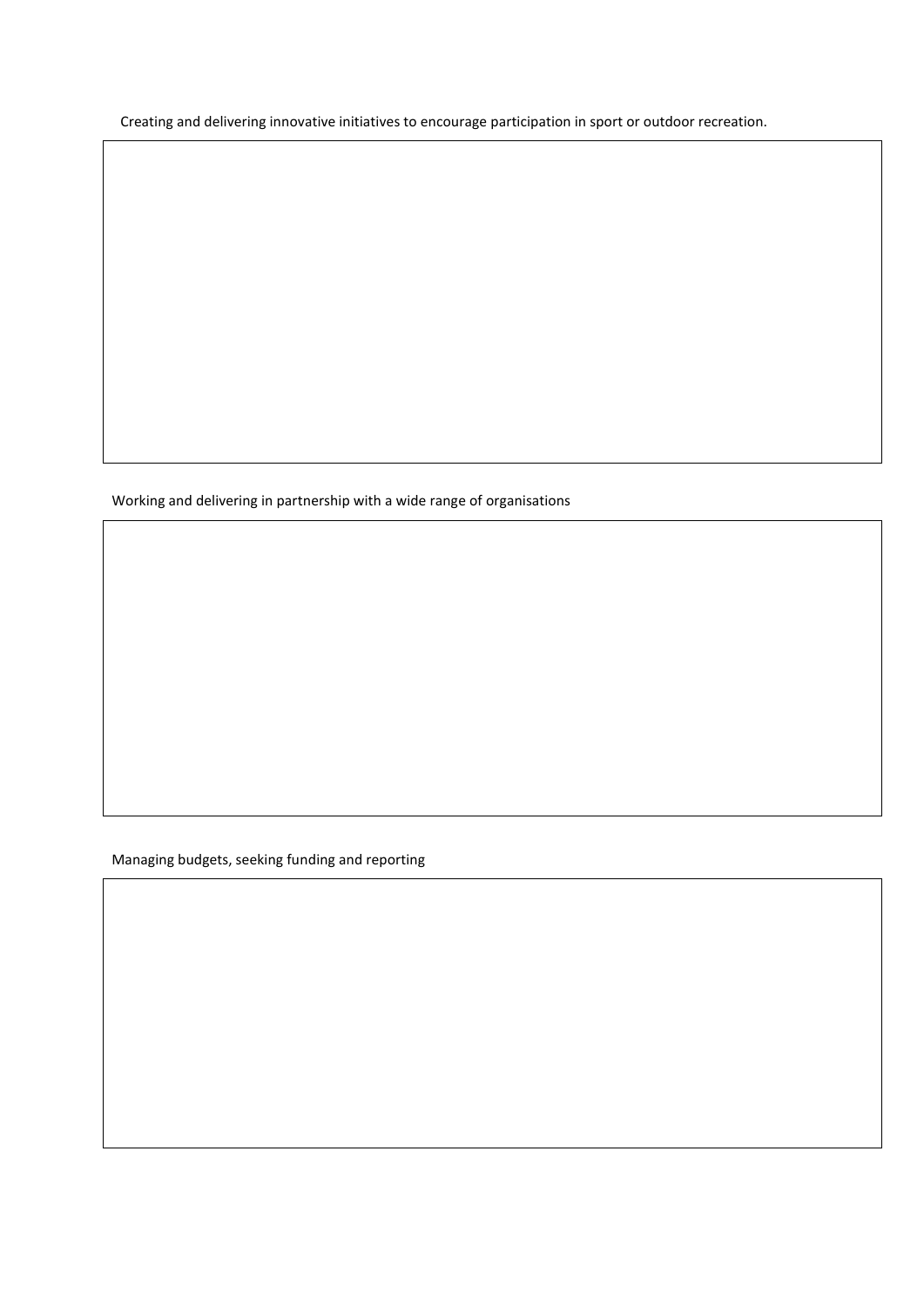Creating and delivering innovative initiatives to encourage participation in sport or outdoor recreation.

Working and delivering in partnership with a wide range of organisations

Managing budgets, seeking funding and reporting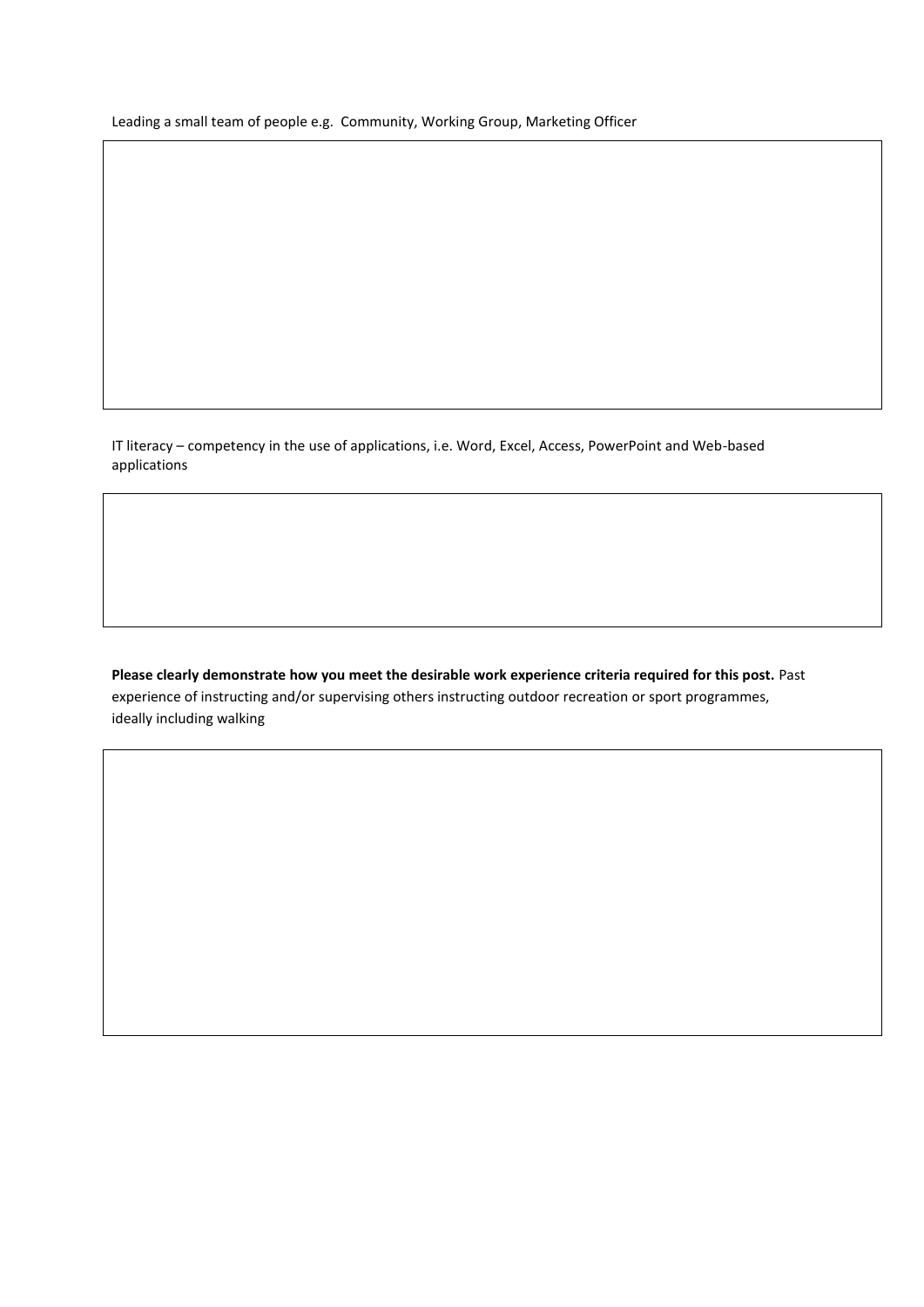Leading a small team of people e.g. Community, Working Group, Marketing Officer

IT literacy – competency in the use of applications, i.e. Word, Excel, Access, PowerPoint and Web-based applications

**Please clearly demonstrate how you meet the desirable work experience criteria required for this post.** Past experience of instructing and/or supervising others instructing outdoor recreation or sport programmes, ideally including walking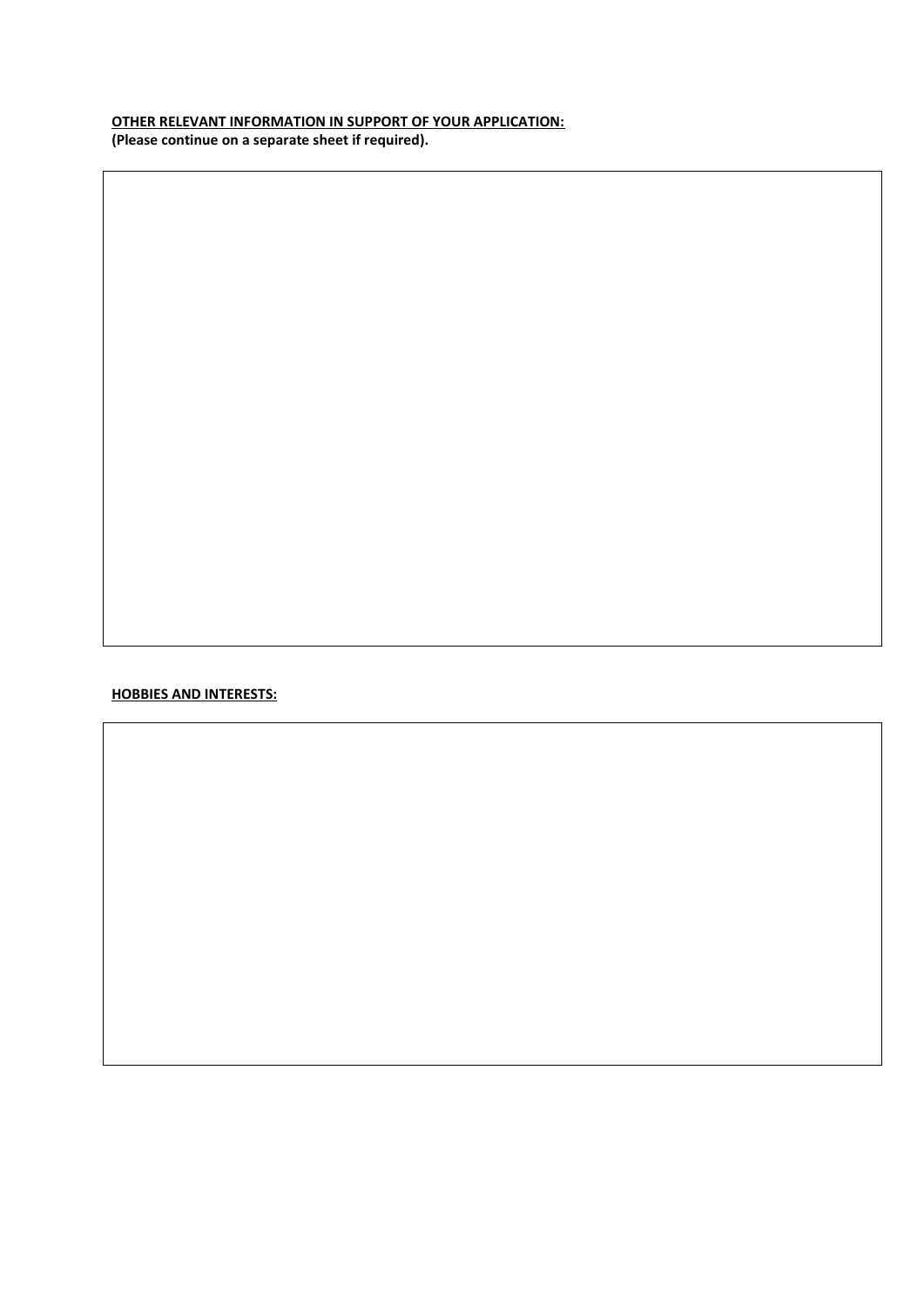## **OTHER RELEVANT INFORMATION IN SUPPORT OF YOUR APPLICATION: (Please continue on a separate sheet if required).**

### **HOBBIES AND INTERESTS:**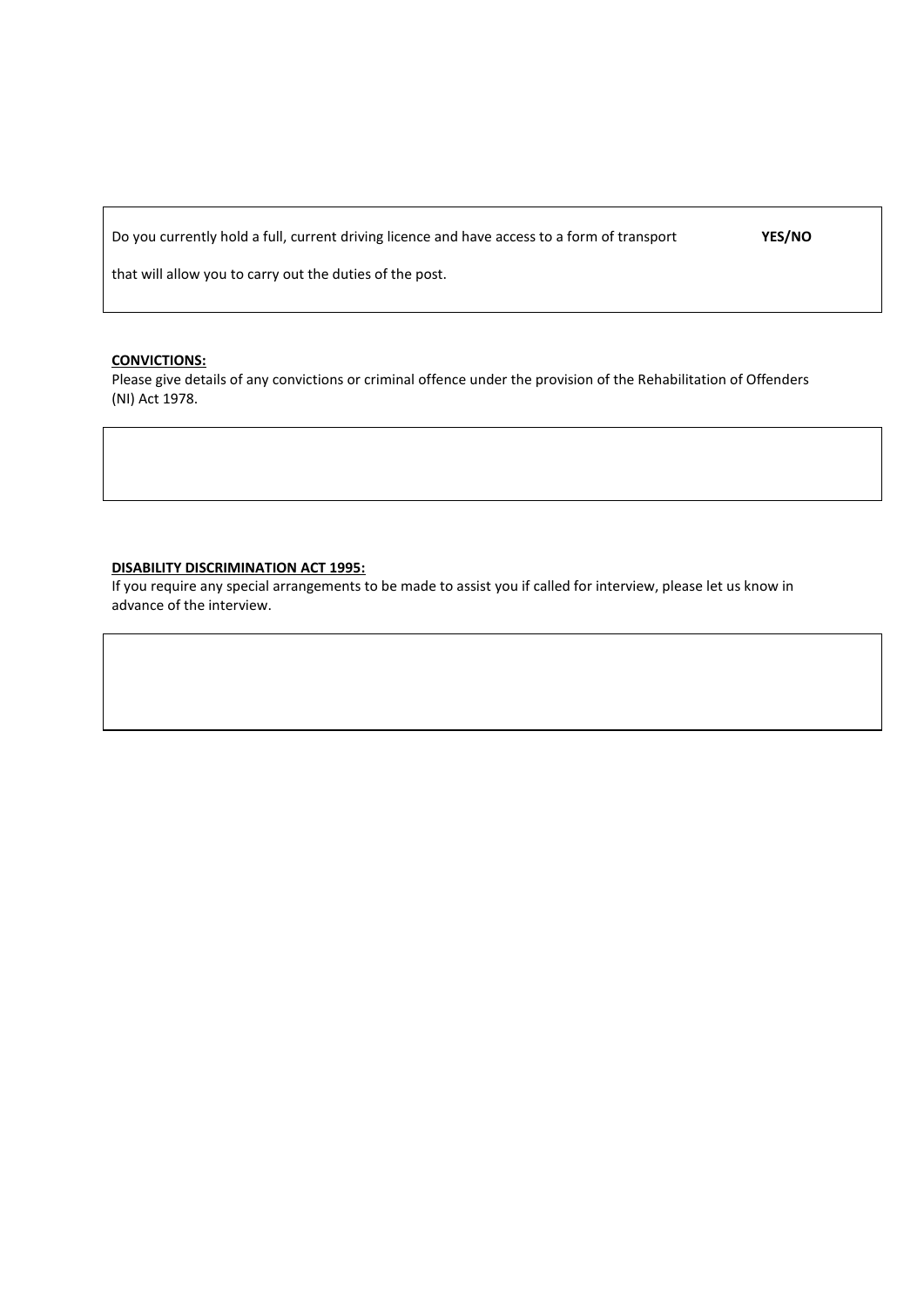Do you currently hold a full, current driving licence and have access to a form of transport

**YES/NO**

that will allow you to carry out the duties of the post.

#### **CONVICTIONS:**

Please give details of any convictions or criminal offence under the provision of the Rehabilitation of Offenders (NI) Act 1978.

#### **DISABILITY DISCRIMINATION ACT 1995:**

If you require any special arrangements to be made to assist you if called for interview, please let us know in advance of the interview.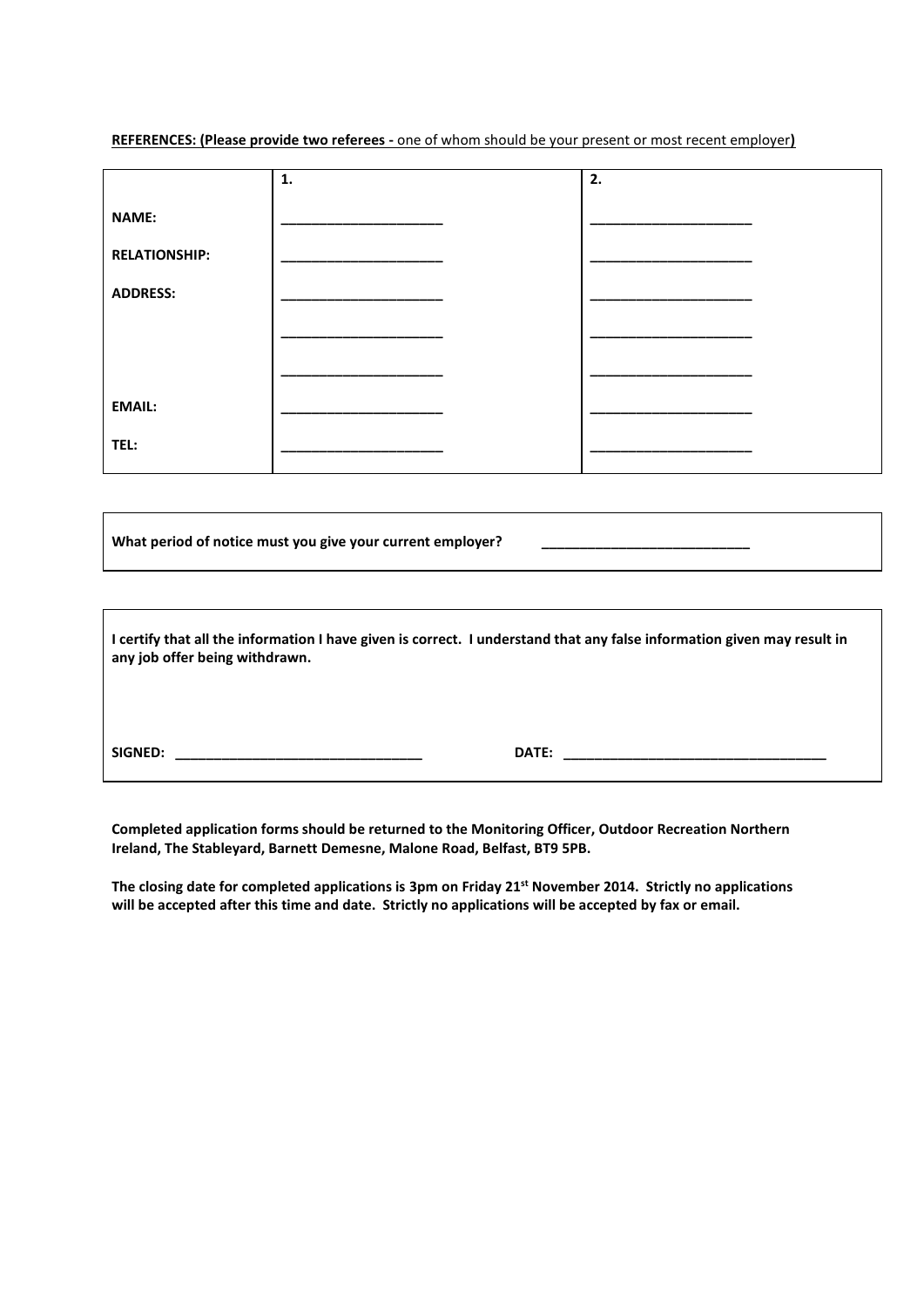**REFERENCES: (Please provide two referees -** one of whom should be your present or most recent employer**)**

|                      | 1. | 2. |
|----------------------|----|----|
| <b>NAME:</b>         |    |    |
| <b>RELATIONSHIP:</b> |    |    |
| <b>ADDRESS:</b>      |    |    |
|                      |    |    |
|                      |    |    |
| <b>EMAIL:</b>        |    |    |
| TEL:                 |    |    |

What period of notice must you give your current employer?

| I certify that all the information I have given is correct. I understand that any false information given may result in<br>any job offer being withdrawn. |                                                                                                                                                                                                                                     |  |
|-----------------------------------------------------------------------------------------------------------------------------------------------------------|-------------------------------------------------------------------------------------------------------------------------------------------------------------------------------------------------------------------------------------|--|
|                                                                                                                                                           |                                                                                                                                                                                                                                     |  |
| SIGNED:                                                                                                                                                   | <b>DATE:</b> the contract of the contract of the contract of the contract of the contract of the contract of the contract of the contract of the contract of the contract of the contract of the contract of the contract of the co |  |

**Completed application forms should be returned to the Monitoring Officer, Outdoor Recreation Northern Ireland, The Stableyard, Barnett Demesne, Malone Road, Belfast, BT9 5PB.**

**The closing date for completed applications is 3pm on Friday 21st November 2014. Strictly no applications will be accepted after this time and date. Strictly no applications will be accepted by fax or email.**